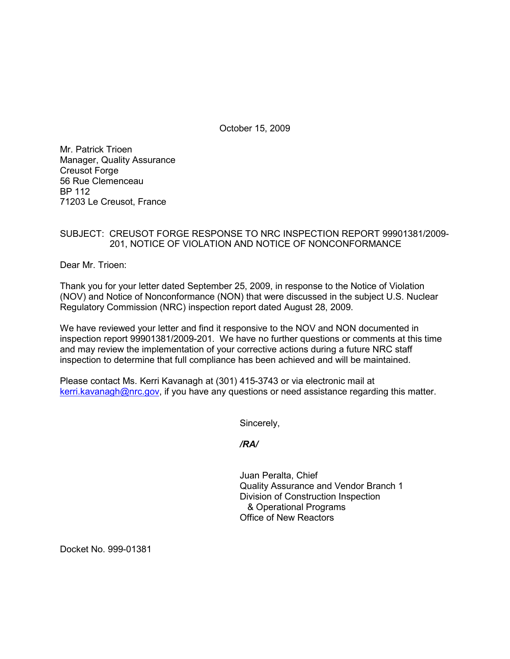October 15, 2009

Mr. Patrick Trioen Manager, Quality Assurance Creusot Forge 56 Rue Clemenceau BP 112 71203 Le Creusot, France

## SUBJECT: CREUSOT FORGE RESPONSE TO NRC INSPECTION REPORT 99901381/2009- 201, NOTICE OF VIOLATION AND NOTICE OF NONCONFORMANCE

Dear Mr. Trioen:

Thank you for your letter dated September 25, 2009, in response to the Notice of Violation (NOV) and Notice of Nonconformance (NON) that were discussed in the subject U.S. Nuclear Regulatory Commission (NRC) inspection report dated August 28, 2009.

We have reviewed your letter and find it responsive to the NOV and NON documented in inspection report 99901381/2009-201. We have no further questions or comments at this time and may review the implementation of your corrective actions during a future NRC staff inspection to determine that full compliance has been achieved and will be maintained.

Please contact Ms. Kerri Kavanagh at (301) 415-3743 or via electronic mail at kerri.kavanagh@nrc.gov, if you have any questions or need assistance regarding this matter.

Sincerely,

*/RA/* 

Juan Peralta, Chief Quality Assurance and Vendor Branch 1 Division of Construction Inspection & Operational Programs Office of New Reactors

Docket No. 999-01381